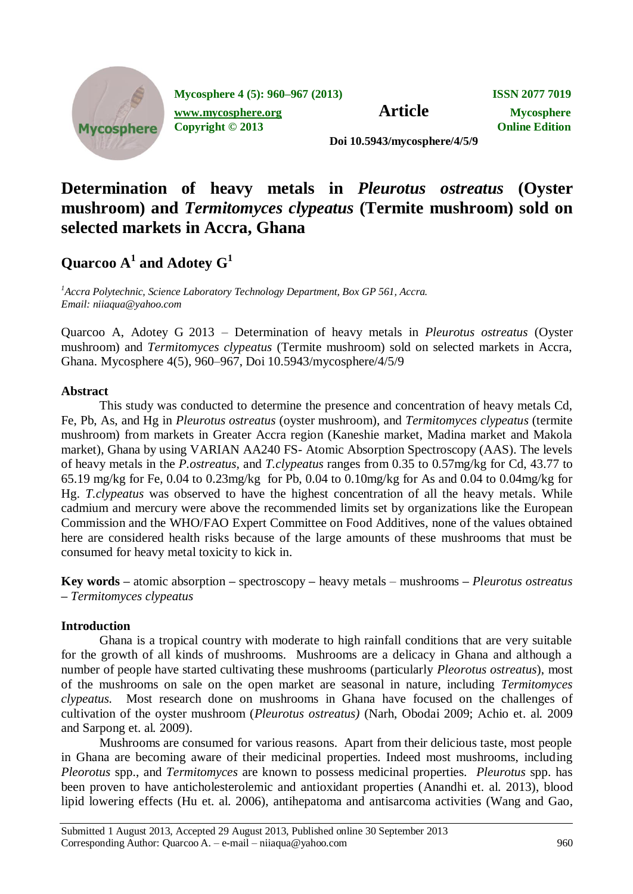

**Mycosphere 4 (5): 960–967 (2013) ISSN 2077 7019 [www.mycosphere.org](http://www.mycosphere.org/) Article Mycosphere** 

**Copyright © 2013 Online Edition**

**Doi 10.5943/mycosphere/4/5/9**

# **Determination of heavy metals in** *Pleurotus ostreatus* **(Oyster mushroom) and** *Termitomyces clypeatus* **(Termite mushroom) sold on selected markets in Accra, Ghana**

# $\mathbf{Quarcoo\ A}^1$  and  $\mathbf{Adotey\ G}^1$

*<sup>1</sup>Accra Polytechnic, Science Laboratory Technology Department, Box GP 561, Accra. Email: [niiaqua@yahoo.com](mailto:niiaqua@yahoo.com)*

Quarcoo A, Adotey G 2013 – Determination of heavy metals in *Pleurotus ostreatus* (Oyster mushroom) and *Termitomyces clypeatus* (Termite mushroom) sold on selected markets in Accra, Ghana. Mycosphere 4(5), 960–967, Doi 10.5943/mycosphere/4/5/9

## **Abstract**

This study was conducted to determine the presence and concentration of heavy metals Cd, Fe, Pb, As, and Hg in *Pleurotus ostreatus* (oyster mushroom), and *Termitomyces clypeatus* (termite mushroom) from markets in Greater Accra region (Kaneshie market, Madina market and Makola market), Ghana by using VARIAN AA240 FS- Atomic Absorption Spectroscopy (AAS). The levels of heavy metals in the *P.ostreatus,* and *T.clypeatus* ranges from 0.35 to 0.57mg/kg for Cd, 43.77 to 65.19 mg/kg for Fe, 0.04 to 0.23mg/kg for Pb, 0.04 to 0.10mg/kg for As and 0.04 to 0.04mg/kg for Hg. *T.clypeatus* was observed to have the highest concentration of all the heavy metals. While cadmium and mercury were above the recommended limits set by organizations like the European Commission and the WHO/FAO Expert Committee on Food Additives, none of the values obtained here are considered health risks because of the large amounts of these mushrooms that must be consumed for heavy metal toxicity to kick in.

**Key words –** atomic absorption **–** spectroscopy **–** heavy metals *–* mushrooms **–** *Pleurotus ostreatus* **–** *Termitomyces clypeatus* 

## **Introduction**

Ghana is a tropical country with moderate to high rainfall conditions that are very suitable for the growth of all kinds of mushrooms. Mushrooms are a delicacy in Ghana and although a number of people have started cultivating these mushrooms (particularly *Pleorotus ostreatus*), most of the mushrooms on sale on the open market are seasonal in nature, including *Termitomyces clypeatus.* Most research done on mushrooms in Ghana have focused on the challenges of cultivation of the oyster mushroom (*Pleurotus ostreatus)* (Narh, Obodai 2009; Achio et. al*.* 2009 and Sarpong et. al*.* 2009).

Mushrooms are consumed for various reasons. Apart from their delicious taste, most people in Ghana are becoming aware of their medicinal properties. Indeed most mushrooms, including *Pleorotus* spp., and *Termitomyces* are known to possess medicinal properties. *Pleurotus* spp. has been proven to have anticholesterolemic and antioxidant properties (Anandhi et. al. 2013), blood lipid lowering effects (Hu et. al. 2006), antihepatoma and antisarcoma activities (Wang and Gao,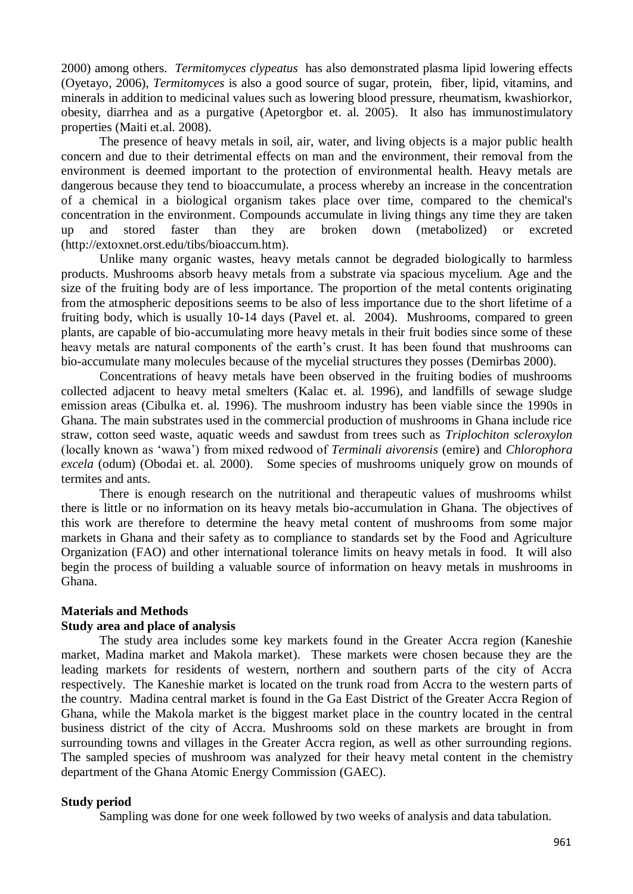2000) among others. *Termitomyces clypeatus* has also demonstrated plasma lipid lowering effects (Oyetayo, 2006), *Termitomyces* is also a good source of sugar, protein, fiber, lipid, vitamins, and minerals in addition to medicinal values such as lowering blood pressure, rheumatism, kwashiorkor, obesity, diarrhea and as a purgative (Apetorgbor et. al. 2005). It also has immunostimulatory properties (Maiti et.al. 2008).

The presence of heavy metals in soil, air, water, and living objects is a major public health concern and due to their detrimental effects on man and the environment, their removal from the environment is deemed important to the protection of environmental health. Heavy metals are dangerous because they tend to bioaccumulate, a process whereby an increase in the concentration of a chemical in a biological organism takes place over time, compared to the chemical's concentration in the environment. Compounds accumulate in living things any time they are taken up and stored faster than they are broken down (metabolized) or excreted [\(http://extoxnet.orst.edu/tibs/bioaccum.htm\)](http://extoxnet.orst.edu/tibs/bioaccum.htm).

Unlike many organic wastes, heavy metals cannot be degraded biologically to harmless products. Mushrooms absorb heavy metals from a substrate via spacious mycelium. Age and the size of the fruiting body are of less importance. The proportion of the metal contents originating from the atmospheric depositions seems to be also of less importance due to the short lifetime of a fruiting body, which is usually 10-14 days (Pavel et. al. 2004). Mushrooms, compared to green plants, are capable of bio-accumulating more heavy metals in their fruit bodies since some of these heavy metals are natural components of the earth's crust. It has been found that mushrooms can bio-accumulate many molecules because of the mycelial structures they posses (Demirbas 2000).

Concentrations of heavy metals have been observed in the fruiting bodies of mushrooms collected adjacent to heavy metal smelters (Kalac et. al. 1996), and landfills of sewage sludge emission areas (Cibulka et. al. 1996). The mushroom industry has been viable since the 1990s in Ghana. The main substrates used in the commercial production of mushrooms in Ghana include rice straw, cotton seed waste, aquatic weeds and sawdust from trees such as *Triplochiton scleroxylon* (locally known as 'wawa') from mixed redwood of *Terminali aivorensis* (emire) and *Chlorophora excela* (odum) (Obodai et. al. 2000). Some species of mushrooms uniquely grow on mounds of termites and ants.

There is enough research on the nutritional and therapeutic values of mushrooms whilst there is little or no information on its heavy metals bio-accumulation in Ghana. The objectives of this work are therefore to determine the heavy metal content of mushrooms from some major markets in Ghana and their safety as to compliance to standards set by the Food and Agriculture Organization (FAO) and other international tolerance limits on heavy metals in food. It will also begin the process of building a valuable source of information on heavy metals in mushrooms in Ghana.

#### **Materials and Methods**

#### **Study area and place of analysis**

The study area includes some key markets found in the Greater Accra region (Kaneshie market, Madina market and Makola market). These markets were chosen because they are the leading markets for residents of western, northern and southern parts of the city of Accra respectively. The Kaneshie market is located on the trunk road from Accra to the western parts of the country. Madina central market is found in the Ga East District of the Greater Accra Region of Ghana, while the Makola market is the biggest market place in the country located in the central business district of the city of Accra. Mushrooms sold on these markets are brought in from surrounding towns and villages in the Greater Accra region, as well as other surrounding regions. The sampled species of mushroom was analyzed for their heavy metal content in the chemistry department of the Ghana Atomic Energy Commission (GAEC).

## **Study period**

Sampling was done for one week followed by two weeks of analysis and data tabulation.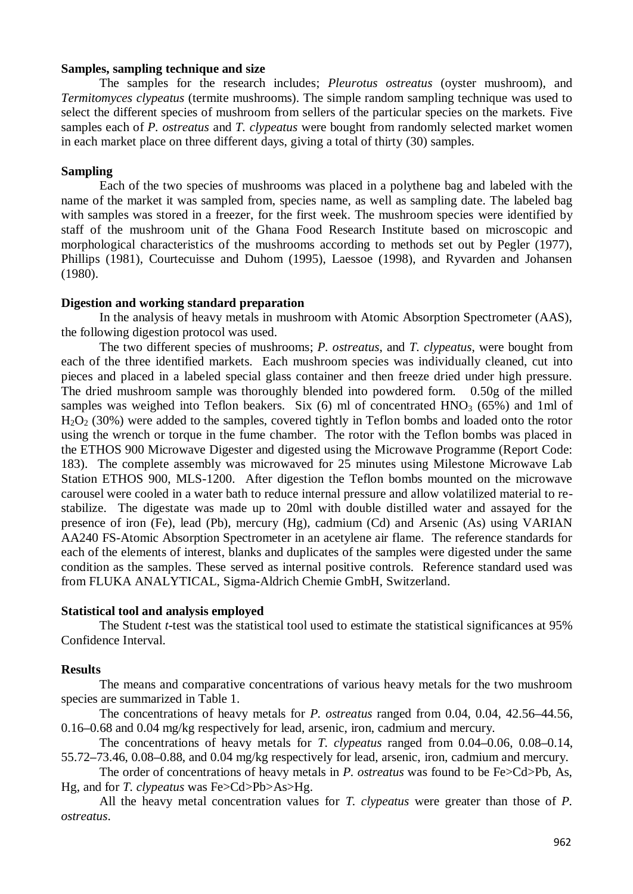#### **Samples, sampling technique and size**

The samples for the research includes; *Pleurotus ostreatus* (oyster mushroom), and *Termitomyces clypeatus* (termite mushrooms). The simple random sampling technique was used to select the different species of mushroom from sellers of the particular species on the markets. Five samples each of *P. ostreatus* and *T. clypeatus* were bought from randomly selected market women in each market place on three different days, giving a total of thirty (30) samples.

## **Sampling**

Each of the two species of mushrooms was placed in a polythene bag and labeled with the name of the market it was sampled from, species name, as well as sampling date. The labeled bag with samples was stored in a freezer, for the first week. The mushroom species were identified by staff of the mushroom unit of the Ghana Food Research Institute based on microscopic and morphological characteristics of the mushrooms according to methods set out by Pegler (1977), Phillips (1981), Courtecuisse and Duhom (1995), Laessoe (1998), and Ryvarden and Johansen (1980).

## **Digestion and working standard preparation**

In the analysis of heavy metals in mushroom with Atomic Absorption Spectrometer (AAS), the following digestion protocol was used.

The two different species of mushrooms; *P. ostreatus*, and *T. clypeatus*, were bought from each of the three identified markets. Each mushroom species was individually cleaned, cut into pieces and placed in a labeled special glass container and then freeze dried under high pressure. The dried mushroom sample was thoroughly blended into powdered form. 0.50g of the milled samples was weighed into Teflon beakers. Six  $(6)$  ml of concentrated HNO<sub>3</sub>  $(65%)$  and 1ml of  $H<sub>2</sub>O<sub>2</sub>$  (30%) were added to the samples, covered tightly in Teflon bombs and loaded onto the rotor using the wrench or torque in the fume chamber. The rotor with the Teflon bombs was placed in the ETHOS 900 Microwave Digester and digested using the Microwave Programme (Report Code: 183). The complete assembly was microwaved for 25 minutes using Milestone Microwave Lab Station ETHOS 900, MLS-1200. After digestion the Teflon bombs mounted on the microwave carousel were cooled in a water bath to reduce internal pressure and allow volatilized material to restabilize. The digestate was made up to 20ml with double distilled water and assayed for the presence of iron (Fe), lead (Pb), mercury (Hg), cadmium (Cd) and Arsenic (As) using VARIAN AA240 FS-Atomic Absorption Spectrometer in an acetylene air flame. The reference standards for each of the elements of interest, blanks and duplicates of the samples were digested under the same condition as the samples. These served as internal positive controls. Reference standard used was from FLUKA ANALYTICAL, Sigma-Aldrich Chemie GmbH, Switzerland.

## **Statistical tool and analysis employed**

The Student *t*-test was the statistical tool used to estimate the statistical significances at 95% Confidence Interval.

## **Results**

The means and comparative concentrations of various heavy metals for the two mushroom species are summarized in Table 1.

The concentrations of heavy metals for *P. ostreatus* ranged from 0.04, 0.04, 42.56**–**44.56, 0.16**–**0.68 and 0.04 mg/kg respectively for lead, arsenic, iron, cadmium and mercury.

The concentrations of heavy metals for *T. clypeatus* ranged from 0.04**–**0.06, 0.08**–**0.14, 55.72**–**73.46, 0.08**–**0.88, and 0.04 mg/kg respectively for lead, arsenic, iron, cadmium and mercury.

The order of concentrations of heavy metals in *P. ostreatus* was found to be Fe>Cd>Pb, As, Hg, and for *T. clypeatus* was Fe>Cd>Pb>As>Hg.

All the heavy metal concentration values for *T. clypeatus* were greater than those of *P. ostreatus*.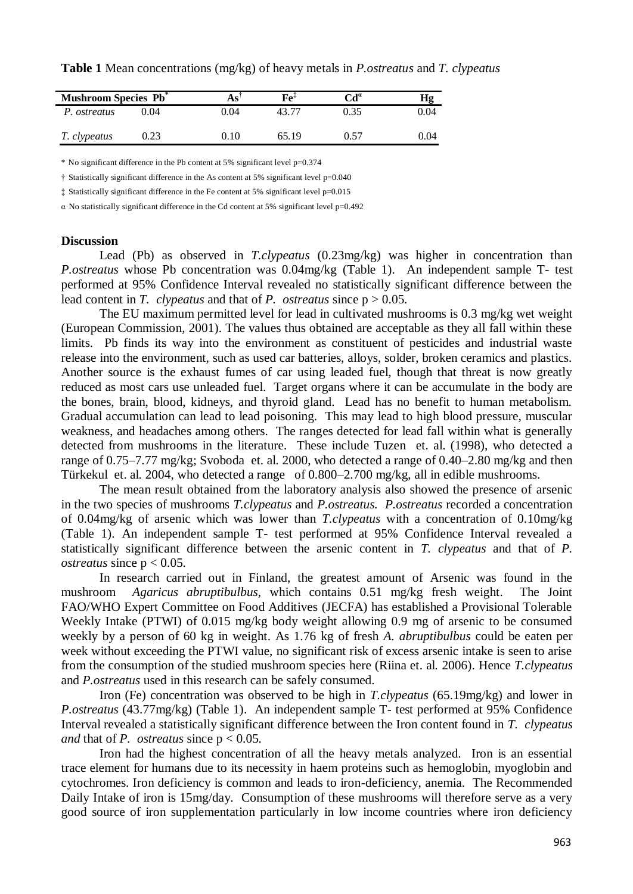**Table 1** Mean concentrations (mg/kg) of heavy metals in *P.ostreatus* and *T. clypeatus*

| <b>Mushroom Species Pb</b> <sup>*</sup> |      | As'  | $Fe+$ | $\mathrm{Cd}^a$ |      |
|-----------------------------------------|------|------|-------|-----------------|------|
| P. ostreatus                            | 0.04 | 0.04 | 43 T  | 0.35            | 0.04 |
| T. clypeatus                            | 0.23 | 0.10 | 65.19 | 0.57            | 0.04 |

\* No significant difference in the Pb content at 5% significant level p=0.374

 $\dagger$  Statistically significant difference in the As content at 5% significant level  $p=0.040$ 

‡ Statistically significant difference in the Fe content at 5% significant level p=0.015

 $\alpha$  No statistically significant difference in the Cd content at 5% significant level  $p=0.492$ 

#### **Discussion**

Lead (Pb) as observed in *T.clypeatus* (0.23mg/kg) was higher in concentration than *P.ostreatus* whose Pb concentration was 0.04mg/kg (Table 1). An independent sample T- test performed at 95% Confidence Interval revealed no statistically significant difference between the lead content in *T. clypeatus* and that of *P. ostreatus* since  $p > 0.05$ .

The EU maximum permitted level for lead in cultivated mushrooms is 0.3 mg/kg wet weight (European Commission, 2001). The values thus obtained are acceptable as they all fall within these limits. Pb finds its way into the environment as constituent of pesticides and industrial waste release into the environment, such as used car batteries, alloys, solder, broken ceramics and plastics. Another source is the exhaust fumes of car using leaded fuel, though that threat is now greatly reduced as most cars use unleaded fuel. Target organs where it can be accumulate in the body are the bones, brain, blood, kidneys, and thyroid gland. Lead has no benefit to human metabolism. Gradual accumulation can lead to lead poisoning. This may lead to high blood pressure, muscular weakness, and headaches among others. The ranges detected for lead fall within what is generally detected from mushrooms in the literature. These include Tuzen et. al. (1998), who detected a range of 0.75–7.77 mg/kg; Svoboda et. al. 2000, who detected a range of 0.40–2.80 mg/kg and then Türkekul et. al. 2004, who detected a range of 0.800–2.700 mg/kg, all in edible mushrooms.

The mean result obtained from the laboratory analysis also showed the presence of arsenic in the two species of mushrooms *T.clypeatus* and *P.ostreatus. P.ostreatus* recorded a concentration of 0.04mg/kg of arsenic which was lower than *T.clypeatus* with a concentration of 0.10mg/kg (Table 1). An independent sample T- test performed at 95% Confidence Interval revealed a statistically significant difference between the arsenic content in *T. clypeatus* and that of *P. ostreatus* since  $p < 0.05$ .

In research carried out in Finland, the greatest amount of Arsenic was found in the mushroom *Agaricus abruptibulbus,* which contains 0.51 mg/kg fresh weight. The Joint FAO/WHO Expert Committee on Food Additives (JECFA) has established a Provisional Tolerable Weekly Intake (PTWI) of 0.015 mg/kg body weight allowing 0.9 mg of arsenic to be consumed weekly by a person of 60 kg in weight. As 1.76 kg of fresh *A. abruptibulbus* could be eaten per week without exceeding the PTWI value, no significant risk of excess arsenic intake is seen to arise from the consumption of the studied mushroom species here (Riina et. al*.* 2006). Hence *T.clypeatus* and *P.ostreatus* used in this research can be safely consumed.

Iron (Fe) concentration was observed to be high in *T.clypeatus* (65.19mg/kg) and lower in *P.ostreatus* (43.77mg/kg) (Table 1). An independent sample T- test performed at 95% Confidence Interval revealed a statistically significant difference between the Iron content found in *T. clypeatus and* that of *P. ostreatus* since  $p < 0.05$ .

Iron had the highest concentration of all the heavy metals analyzed. Iron is an essential trace element for humans due to its necessity in haem proteins such as hemoglobin, myoglobin and cytochromes. Iron deficiency is common and leads to iron-deficiency, anemia. The Recommended Daily Intake of iron is 15mg/day. Consumption of these mushrooms will therefore serve as a very good source of iron supplementation particularly in low income countries where iron deficiency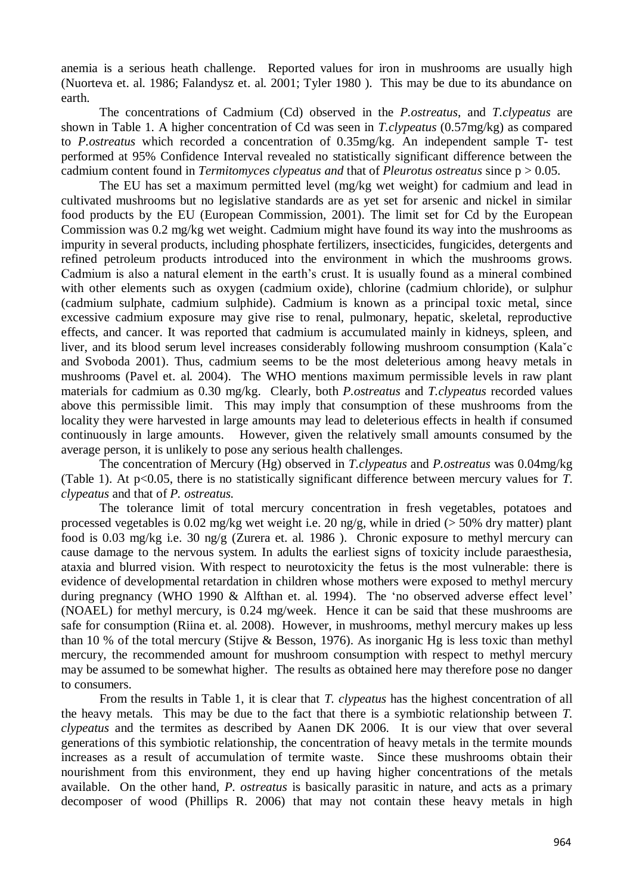anemia is a serious heath challenge. Reported values for iron in mushrooms are usually high (Nuorteva et. al. 1986; Falandysz et. al. 2001; Tyler 1980 ). This may be due to its abundance on earth.

The concentrations of Cadmium (Cd) observed in the *P.ostreatus*, and *T.clypeatus* are shown in Table 1. A higher concentration of Cd was seen in *T.clypeatus* (0.57mg/kg) as compared to *P.ostreatus* which recorded a concentration of 0.35mg/kg. An independent sample T- test performed at 95% Confidence Interval revealed no statistically significant difference between the cadmium content found in *Termitomyces clypeatus and* that of *Pleurotus ostreatus* since p > 0.05.

The EU has set a maximum permitted level (mg/kg wet weight) for cadmium and lead in cultivated mushrooms but no legislative standards are as yet set for arsenic and nickel in similar food products by the EU (European Commission, 2001). The limit set for Cd by the European Commission was 0.2 mg/kg wet weight. Cadmium might have found its way into the mushrooms as impurity in several products, including phosphate fertilizers, insecticides, fungicides, detergents and refined petroleum products introduced into the environment in which the mushrooms grows. Cadmium is also a natural element in the earth's crust. It is usually found as a mineral combined with other elements such as oxygen (cadmium oxide), chlorine (cadmium chloride), or sulphur (cadmium sulphate, cadmium sulphide). Cadmium is known as a principal toxic metal, since excessive cadmium exposure may give rise to renal, pulmonary, hepatic, skeletal, reproductive effects, and cancer. It was reported that cadmium is accumulated mainly in kidneys, spleen, and liver, and its blood serum level increases considerably following mushroom consumption (Kalaˇc and Svoboda 2001). Thus, cadmium seems to be the most deleterious among heavy metals in mushrooms (Pavel et. al*.* 2004). The WHO mentions maximum permissible levels in raw plant materials for cadmium as 0.30 mg/kg. Clearly, both *P.ostreatus* and *T.clypeatus* recorded values above this permissible limit. This may imply that consumption of these mushrooms from the locality they were harvested in large amounts may lead to deleterious effects in health if consumed continuously in large amounts. However, given the relatively small amounts consumed by the average person, it is unlikely to pose any serious health challenges.

The concentration of Mercury (Hg) observed in *T.clypeatus* and *P.ostreatus* was 0.04mg/kg (Table 1). At p<0.05, there is no statistically significant difference between mercury values for *T. clypeatus* and that of *P. ostreatus.*

The tolerance limit of total mercury concentration in fresh vegetables, potatoes and processed vegetables is 0.02 mg/kg wet weight i.e. 20 ng/g, while in dried ( $>$  50% dry matter) plant food is 0.03 mg/kg i.e. 30 ng/g (Zurera et. al*.* 1986 ). Chronic exposure to methyl mercury can cause damage to the nervous system. In adults the earliest signs of toxicity include paraesthesia, ataxia and blurred vision. With respect to neurotoxicity the fetus is the most vulnerable: there is evidence of developmental retardation in children whose mothers were exposed to methyl mercury during pregnancy (WHO 1990 & Alfthan et. al. 1994). The 'no observed adverse effect level' (NOAEL) for methyl mercury, is 0.24 mg/week. Hence it can be said that these mushrooms are safe for consumption (Riina et. al. 2008). However, in mushrooms, methyl mercury makes up less than 10 % of the total mercury (Stijve & Besson, 1976). As inorganic Hg is less toxic than methyl mercury, the recommended amount for mushroom consumption with respect to methyl mercury may be assumed to be somewhat higher. The results as obtained here may therefore pose no danger to consumers.

From the results in Table 1, it is clear that *T. clypeatus* has the highest concentration of all the heavy metals. This may be due to the fact that there is a symbiotic relationship between *T. clypeatus* and the termites as described by Aanen DK 2006. It is our view that over several generations of this symbiotic relationship, the concentration of heavy metals in the termite mounds increases as a result of accumulation of termite waste. Since these mushrooms obtain their nourishment from this environment, they end up having higher concentrations of the metals available. On the other hand, *P. ostreatus* is basically parasitic in nature, and acts as a primary decomposer of wood (Phillips R. 2006) that may not contain these heavy metals in high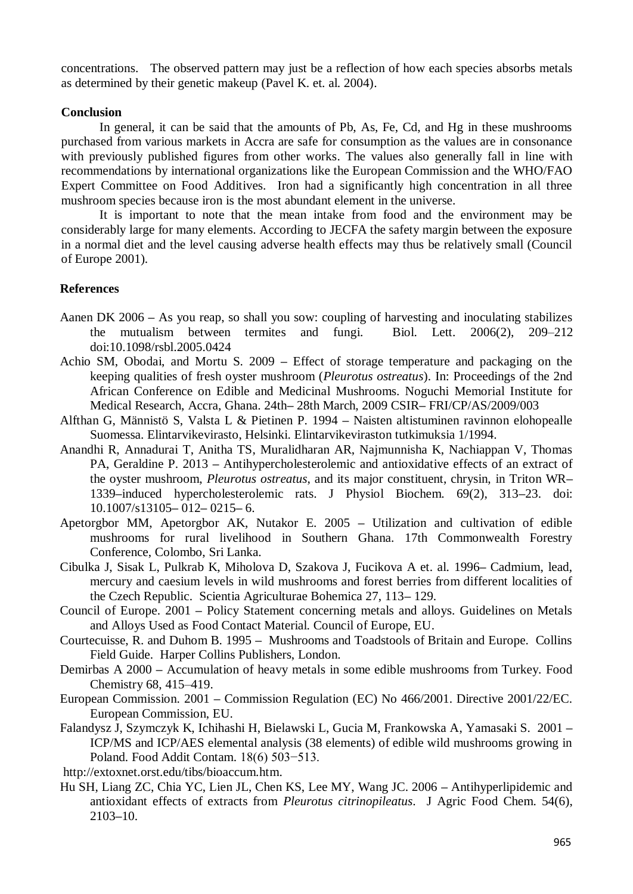concentrations. The observed pattern may just be a reflection of how each species absorbs metals as determined by their genetic makeup (Pavel K. et. al. 2004).

#### **Conclusion**

In general, it can be said that the amounts of Pb, As, Fe, Cd, and Hg in these mushrooms purchased from various markets in Accra are safe for consumption as the values are in consonance with previously published figures from other works. The values also generally fall in line with recommendations by international organizations like the European Commission and the WHO/FAO Expert Committee on Food Additives. Iron had a significantly high concentration in all three mushroom species because iron is the most abundant element in the universe.

It is important to note that the mean intake from food and the environment may be considerably large for many elements. According to JECFA the safety margin between the exposure in a normal diet and the level causing adverse health effects may thus be relatively small (Council of Europe 2001).

#### **References**

- Aanen DK 2006 **–** As you reap, so shall you sow: coupling of harvesting and inoculating stabilizes the mutualism between termites and fungi. Biol. Lett. 2006(2), 209–212 doi:10.1098/rsbl.2005.0424
- Achio SM, Obodai, and Mortu S. 2009 **–** Effect of storage temperature and packaging on the keeping qualities of fresh oyster mushroom (*Pleurotus ostreatus*). In: Proceedings of the 2nd African Conference on Edible and Medicinal Mushrooms. Noguchi Memorial Institute for Medical Research, Accra, Ghana. 24th**–** 28th March, 2009 CSIR**–** FRI/CP/AS/2009/003
- Alfthan G, Männistö S, Valsta L & Pietinen P. 1994 **–** Naisten altistuminen ravinnon elohopealle Suomessa. Elintarvikevirasto, Helsinki. Elintarvikeviraston tutkimuksia 1/1994.
- Anandhi R, Annadurai T, Anitha TS, Muralidharan AR, Najmunnisha K, Nachiappan V, Thomas PA, Geraldine P. 2013 **–** Antihypercholesterolemic and antioxidative effects of an extract of the oyster mushroom, *Pleurotus ostreatus*, and its major constituent, chrysin, in Triton WR**–** 1339**–**induced hypercholesterolemic rats. J Physiol Biochem. 69(2), 313**–**23. doi: 10.1007/s13105**–** 012**–** 0215**–** 6.
- Apetorgbor MM, Apetorgbor AK, Nutakor E. 2005 **–** Utilization and cultivation of edible mushrooms for rural livelihood in Southern Ghana. 17th Commonwealth Forestry Conference, Colombo, Sri Lanka.
- Cibulka J, Sisak L, Pulkrab K, Miholova D, Szakova J, Fucikova A et. al*.* 1996**–** Cadmium, lead, mercury and caesium levels in wild mushrooms and forest berries from different localities of the Czech Republic. Scientia Agriculturae Bohemica 27, 113**–** 129.
- Council of Europe. 2001 **–** Policy Statement concerning metals and alloys. Guidelines on Metals and Alloys Used as Food Contact Material. Council of Europe, EU.
- Courtecuisse, R. and Duhom B. 1995 **–** Mushrooms and Toadstools of Britain and Europe. Collins Field Guide. Harper Collins Publishers, London.
- Demirbas A 2000 **–** Accumulation of heavy metals in some edible mushrooms from Turkey. Food Chemistry 68, 415–419.
- European Commission. 2001 **–** Commission Regulation (EC) No 466/2001. Directive 2001/22/EC. European Commission, EU.
- Falandysz J, Szymczyk K, Ichihashi H, Bielawski L, Gucia M, Frankowska A, Yamasaki S. 2001 **–** ICP/MS and ICP/AES elemental analysis (38 elements) of edible wild mushrooms growing in Poland. Food Addit Contam. 18(6) 503−513.

[http://extoxnet.orst.edu/tibs/bioaccum.htm.](http://extoxnet.orst.edu/tibs/bioaccum.htm)

Hu SH, Liang ZC, Chia YC, Lien JL, Chen KS, Lee MY, Wang JC. 2006 **–** Antihyperlipidemic and antioxidant effects of extracts from *Pleurotus citrinopileatus*. J Agric Food Chem. 54(6), 2103**–**10.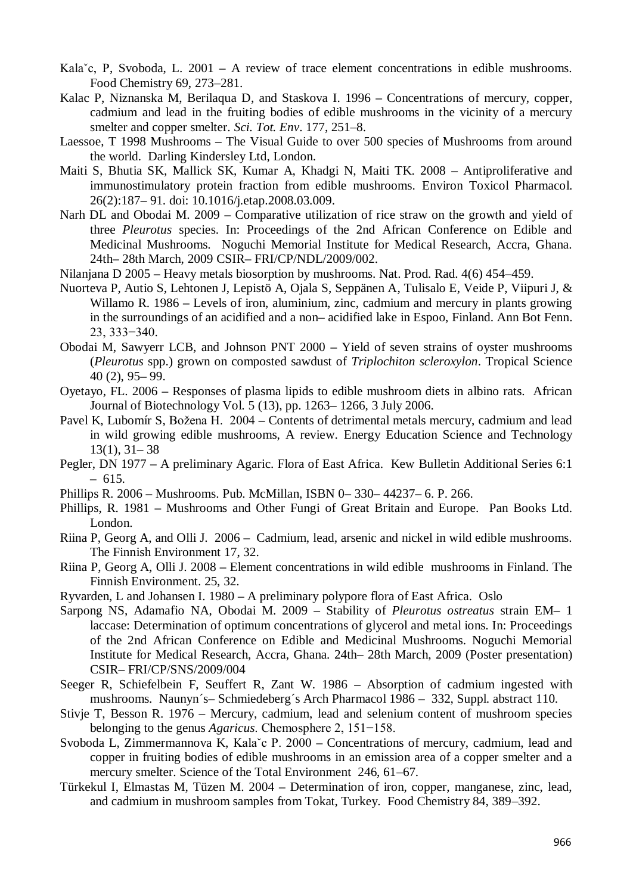- Kala<sup>\*</sup>c, P, Svoboda, L. 2001 A review of trace element concentrations in edible mushrooms. Food Chemistry 69, 273–281.
- Kalac P, Niznanska M, Berilaqua D, and Staskova I. 1996 **–** Concentrations of mercury, copper, cadmium and lead in the fruiting bodies of edible mushrooms in the vicinity of a mercury smelter and copper smelter. *Sci. Tot. Env*. 177, 251–8.
- Laessoe, T 1998 Mushrooms **–** The Visual Guide to over 500 species of Mushrooms from around the world. Darling Kindersley Ltd, London.
- Maiti S, Bhutia SK, Mallick SK, Kumar A, Khadgi N, Maiti TK. 2008 **–** Antiproliferative and immunostimulatory protein fraction from edible mushrooms. Environ Toxicol Pharmacol. 26(2):187**–** 91. doi: 10.1016/j.etap.2008.03.009.
- Narh DL and Obodai M. 2009 **–** Comparative utilization of rice straw on the growth and yield of three *Pleurotus* species. In: Proceedings of the 2nd African Conference on Edible and Medicinal Mushrooms. Noguchi Memorial Institute for Medical Research, Accra, Ghana. 24th**–** 28th March, 2009 CSIR**–** FRI/CP/NDL/2009/002.
- Nilanjana D 2005 **–** Heavy metals biosorption by mushrooms. Nat. Prod. Rad. 4(6) 454–459.
- Nuorteva P, Autio S, Lehtonen J, Lepistö A, Ojala S, Seppänen A, Tulisalo E, Veide P, Viipuri J, & Willamo R. 1986 **–** Levels of iron, aluminium, zinc, cadmium and mercury in plants growing in the surroundings of an acidified and a non**–** acidified lake in Espoo, Finland. Ann Bot Fenn. 23, 333−340.
- Obodai M, Sawyerr LCB, and Johnson PNT 2000 **–** Yield of seven strains of oyster mushrooms (*Pleurotus* spp.) grown on composted sawdust of *Triplochiton scleroxylon*. Tropical Science 40 (2), 95**–** 99.
- Oyetayo, FL. 2006 **–** Responses of plasma lipids to edible mushroom diets in albino rats. African Journal of Biotechnology Vol. 5 (13), pp. 1263**–** 1266, 3 July 2006.
- Pavel K, Lubomír S, Božena H. 2004 **–** Contents of detrimental metals mercury, cadmium and lead in wild growing edible mushrooms, A review. Energy Education Science and Technology 13(1), 31**–** 38
- Pegler, DN 1977 **–** A preliminary Agaric. Flora of East Africa. Kew Bulletin Additional Series 6:1 **–** 615.
- Phillips R. 2006 **–** Mushrooms. Pub. McMillan, ISBN 0**–** 330**–** 44237**–** 6. P. 266.
- Phillips, R. 1981 **–** Mushrooms and Other Fungi of Great Britain and Europe. Pan Books Ltd. London.
- Riina P, Georg A, and Olli J. 2006 **–** Cadmium, lead, arsenic and nickel in wild edible mushrooms. The Finnish Environment 17, 32.
- Riina P, Georg A, Olli J. 2008 **–** Element concentrations in wild edible mushrooms in Finland. The Finnish Environment. 25, 32.
- Ryvarden, L and Johansen I. 1980 **–** A preliminary polypore flora of East Africa. Oslo
- Sarpong NS, Adamafio NA, Obodai M. 2009 **–** Stability of *Pleurotus ostreatus* strain EM**–** 1 laccase: Determination of optimum concentrations of glycerol and metal ions. In: Proceedings of the 2nd African Conference on Edible and Medicinal Mushrooms. Noguchi Memorial Institute for Medical Research, Accra, Ghana. 24th**–** 28th March, 2009 (Poster presentation) CSIR**–** FRI/CP/SNS/2009/004
- Seeger R, Schiefelbein F, Seuffert R, Zant W. 1986 **–** Absorption of cadmium ingested with mushrooms. Naunyn´s**–** Schmiedeberg´s Arch Pharmacol 1986 **–** 332, Suppl. abstract 110.
- Stivje T, Besson R. 1976 **–** Mercury, cadmium, lead and selenium content of mushroom species belonging to the genus *Agaricus*. Chemosphere 2, 151−158.
- Svoboda L, Zimmermannova K, Kalaˇc P. 2000 **–** Concentrations of mercury, cadmium, lead and copper in fruiting bodies of edible mushrooms in an emission area of a copper smelter and a mercury smelter. Science of the Total Environment 246, 61–67.
- Türkekul I, Elmastas M, Tüzen M. 2004 **–** Determination of iron, copper, manganese, zinc, lead, and cadmium in mushroom samples from Tokat, Turkey. Food Chemistry 84, 389–392.